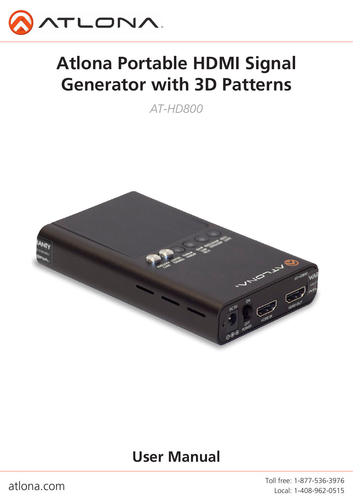

# **Atlona Portable HDMI Signal Generator with 3D Patterns**

*AT-HD800*



## **User Manual**

atlona.com and the community of the test of the test of the test of the test of the test of the test of the test of the test of the test of the test of the test of the test of the test of the test of the test of the test o Local: 1-408-962-0515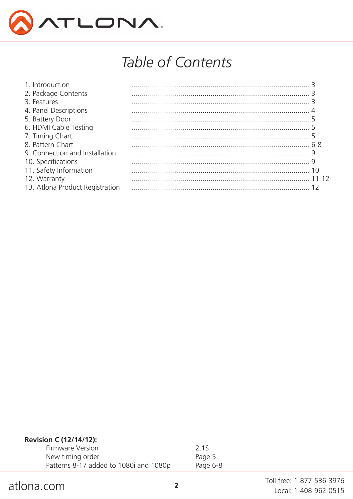

## Table of Contents

| 6-8 |
|-----|
|     |
|     |
|     |
|     |
|     |
|     |

## Revision C (12/14/12):

| Firmware Version                       | 2.1S     |
|----------------------------------------|----------|
| New timing order                       | Page 5   |
| Patterns 8-17 added to 1080i and 1080p | Page 6-8 |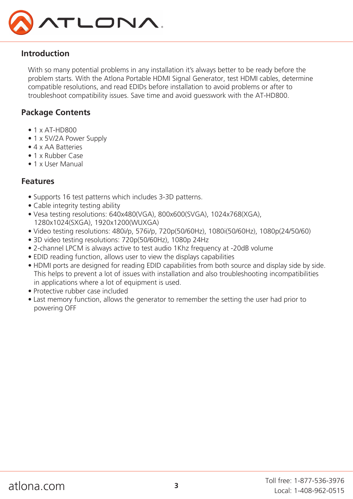

### **Introduction**

With so many potential problems in any installation it's always better to be ready before the problem starts. With the Atlona Portable HDMI Signal Generator, test HDMI cables, determine compatible resolutions, and read EDIDs before installation to avoid problems or after to troubleshoot compatibility issues. Save time and avoid guesswork with the AT-HD800.

## **Package Contents**

- 1 x AT-HD800
- 1 x 5V/2A Power Supply
- 4 x AA Batteries
- 1 x Rubber Case
- 1 x User Manual

## **Features**

- Supports 16 test patterns which includes 3-3D patterns.
- Cable integrity testing ability
- Vesa testing resolutions: 640x480(VGA), 800x600(SVGA), 1024x768(XGA), 1280x1024(SXGA), 1920x1200(WUXGA)
- Video testing resolutions: 480i/p, 576i/p, 720p(50/60Hz), 1080i(50/60Hz), 1080p(24/50/60)
- 3D video testing resolutions: 720p(50/60Hz), 1080p 24Hz
- 2-channel LPCM is always active to test audio 1Khz frequency at -20dB volume
- EDID reading function, allows user to view the displays capabilities
- HDMI ports are designed for reading EDID capabilities from both source and display side by side. This helps to prevent a lot of issues with installation and also troubleshooting incompatibilities in applications where a lot of equipment is used.
- Protective rubber case included
- Last memory function, allows the generator to remember the setting the user had prior to powering OFF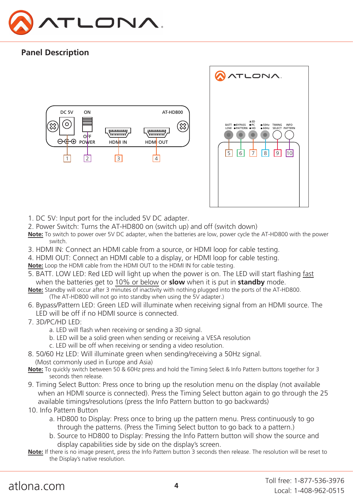

## **Panel Description**





- 1. DC 5V: Input port for the included 5V DC adapter.
- 2. Power Switch: Turns the AT-HD800 on (switch up) and off (switch down)
- **Note:** To switch to power over 5V DC adapter, when the batteries are low, power cycle the AT-HD800 with the power switch.
- 3. HDMI IN: Connect an HDMI cable from a source, or HDMI loop for cable testing.
- 4. HDMI OUT: Connect an HDMI cable to a display, or HDMI loop for cable testing.
- **Note:** Loop the HDMI cable from the HDMI OUT to the HDMI IN for cable testing.
- 5. BATT. LOW LED: Red LED will light up when the power is on. The LED will start flashing fast when the batteries get to 10% or below or **slow** when it is put in **standby** mode.
- **Note:** Standby will occur after 3 minutes of inactivity with nothing plugged into the ports of the AT-HD800. (The AT-HD800 will not go into standby when using the 5V adapter.)
- 6. Bypass/Pattern LED: Green LED will illuminate when receiving signal from an HDMI source. The LED will be off if no HDMI source is connected.
- 7. 3D/PC/HD LED:
	- a. LED will flash when receiving or sending a 3D signal.
	- b. LED will be a solid green when sending or receiving a VESA resolution
	- c. LED will be off when receiving or sending a video resolution.
- 8. 50/60 Hz LED: Will illuminate green when sending/receiving a 50Hz signal.
	- (Most commonly used in Europe and Asia)
- **Note:** To quickly switch between 50 & 60Hz press and hold the Timing Select & Info Pattern buttons together for 3 seconds then release.
- 9. Timing Select Button: Press once to bring up the resolution menu on the display (not available when an HDMI source is connected). Press the Timing Select button again to go through the 25 available timings/resolutions (press the Info Pattern button to go backwards)
- 10. Info Pattern Button
	- a. HD800 to Display: Press once to bring up the pattern menu. Press continuously to go through the patterns. (Press the Timing Select button to go back to a pattern.)
	- b. Source to HD800 to Display: Pressing the Info Pattern button will show the source and display capabilities side by side on the display's screen.
- **Note:** If there is no image present, press the Info Pattern button 3 seconds then release. The resolution will be reset to the Display's native resolution.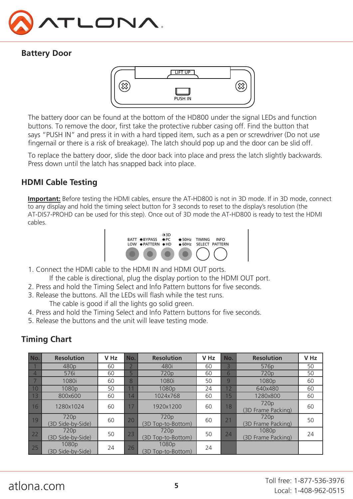

## **Battery Door**



The battery door can be found at the bottom of the HD800 under the signal LEDs and function buttons. To remove the door, first take the protective rubber casing off. Find the button that says "PUSH IN" and press it in with a hard tipped item, such as a pen or screwdriver (Do not use fingernail or there is a risk of breakage). The latch should pop up and the door can be slid off.

Press down until the latch has snapped back into place. To replace the battery door, slide the door back into place and press the latch slightly backwards.

## **HDMI Cable Testing**

**Important:** Before testing the HDMI cables, ensure the AT-HD800 is not in 3D mode. If in 3D mode, connect to any display and hold the timing select button for 3 seconds to reset to the display's resolution (the AT-DIS7-PROHD can be used for this step). Once out of 3D mode the AT-HD800 is ready to test the HDMI cables.



- 1. Connect the HDMI cable to the HDMI IN and HDMI OUT ports.
- If the cable is directional, plug the display portion to the HDMI OUT port.
- 2. Press and hold the Timing Select and Info Pattern buttons for five seconds.
- 3. Release the buttons. All the LEDs will flash while the test runs. The cable is good if all the lights go solid green.
- 4. Press and hold the Timing Select and Info Pattern buttons for five seconds.
- 5. Release the buttons and the unit will leave testing mode.

## **Timing Chart**

| No.            | <b>Resolution</b>                     | V <sub>Hz</sub> | No. | <b>Resolution</b>                      | V <sub>Hz</sub> | No. | <b>Resolution</b>                       | V Hz |
|----------------|---------------------------------------|-----------------|-----|----------------------------------------|-----------------|-----|-----------------------------------------|------|
|                | 480 <sub>p</sub>                      | 60              |     | 480i                                   | 60              | 3   | 576 <sub>p</sub>                        | 50   |
| $\overline{4}$ | 576i                                  | 60              | 5   | 720 <sub>p</sub>                       | 60              | 6   | 720 <sub>p</sub>                        | 50   |
|                | 1080i                                 | 60              | 8   | 1080i                                  | 50              | 9   | 1080p                                   | 60   |
| 10             | 1080 <sub>p</sub>                     | 50              |     | 1080 <sub>p</sub>                      | 24              | 12  | 640x480                                 | 60   |
| 13             | 800x600                               | 60              | 14  | 1024x768                               | 60              | 15  | 1280x800                                | 60   |
| 16             | 1280x1024                             | 60              | 17  | 1920x1200                              | 60              | 18  | 720 <sub>p</sub><br>(3D Frame Packing)  | 60   |
| 19             | 720 <sub>p</sub><br>(3D Side-by-Side) | 60              | 20  | 720 <sub>p</sub><br>(3D Top-to-Bottom) | 60              | 21  | 720 <sub>p</sub><br>(3D Frame Packing)  | 50   |
| 22             | 720 <sub>p</sub><br>(3D Side-by-Side) | 50              | 23  | 720 <sub>p</sub><br>(3D Top-to-Bottom) | 50              | 24  | 1080 <sub>p</sub><br>(3D Frame Packing) | 24   |
| 25             | 1080p<br>(3D Side-by-Side)            | 24              | 26  | 1080p<br>(3D Top-to-Bottom)            | 24              |     |                                         |      |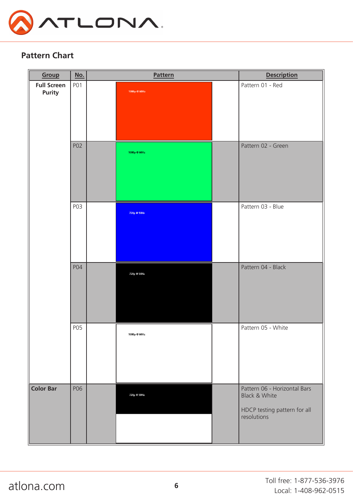

### **Pattern Chart**

| Group                               | <u>No.</u>       | <b>Pattern</b> |                      |  | <b>Description</b>                                                                                      |
|-------------------------------------|------------------|----------------|----------------------|--|---------------------------------------------------------------------------------------------------------|
| <b>Full Screen</b><br><b>Purity</b> | P <sub>0</sub> 1 |                | 1080p @ 60Hz         |  | Pattern 01 - Red                                                                                        |
|                                     | P02              |                | 1080p @ 60Hz         |  | Pattern 02 - Green                                                                                      |
|                                     | P03              |                | 720p @ 50Hz          |  | Pattern 03 - Blue                                                                                       |
|                                     | P04              |                | 720p @ 50Hz          |  | Pattern 04 - Black                                                                                      |
|                                     | P05              |                | $1080p \otimes 60Hz$ |  | Pattern 05 - White                                                                                      |
| <b>Color Bar</b>                    | P06              |                | 720p @ 50Hz          |  | Pattern 06 - Horizontal Bars<br><b>Black &amp; White</b><br>HDCP testing pattern for all<br>resolutions |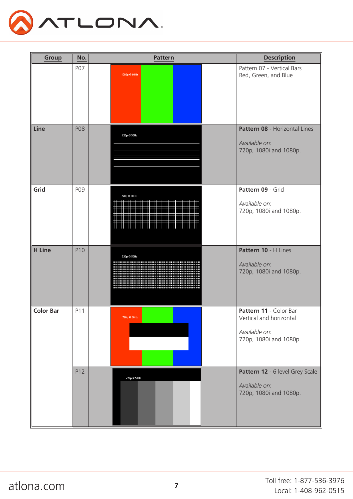

| Group            | No.        | Pattern                          | <b>Description</b>                                                                           |
|------------------|------------|----------------------------------|----------------------------------------------------------------------------------------------|
|                  | P07        | 1080p @ 60Hz                     | Pattern 07 - Vertical Bars<br>Red, Green, and Blue                                           |
| Line             | <b>P08</b> | 720p @ 50Hz                      | Pattern 08 - Horizontal Lines<br>Available on:<br>720p, 1080i and 1080p.                     |
| Grid             | P09        | 720p @ 50Hz                      | Pattern 09 - Grid<br>Available on:<br>720p, 1080i and 1080p.                                 |
| <b>H</b> Line    | P10        | 720p @ 50Hz<br>нинининининининин | Pattern 10 - H Lines<br>Available on:<br>720p, 1080i and 1080p.                              |
| <b>Color Bar</b> | P11        | 720p @ 50Hz                      | Pattern 11 - Color Bar<br>Vertical and horizontal<br>Available on:<br>720p, 1080i and 1080p. |
|                  | P12        | 720p @ 50Hz                      | Pattern 12 - 6 level Grey Scale<br>Available on:<br>720p, 1080i and 1080p.                   |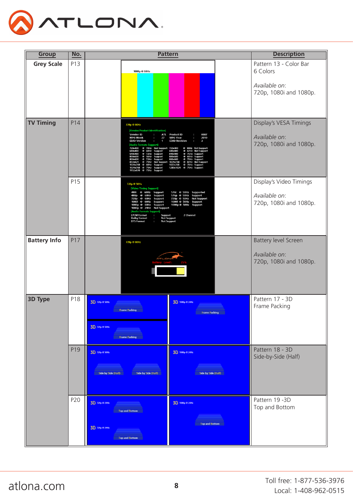

| Group               | No. | <b>Pattern</b>                                                                                                                                                                                                                                                                                                                                                                                                                                                                                             | <b>Description</b>                                                                                                                                                                                                                                                                                                                        |                                                                    |
|---------------------|-----|------------------------------------------------------------------------------------------------------------------------------------------------------------------------------------------------------------------------------------------------------------------------------------------------------------------------------------------------------------------------------------------------------------------------------------------------------------------------------------------------------------|-------------------------------------------------------------------------------------------------------------------------------------------------------------------------------------------------------------------------------------------------------------------------------------------------------------------------------------------|--------------------------------------------------------------------|
| <b>Grey Scale</b>   | P13 | 1080p @ 60Hz                                                                                                                                                                                                                                                                                                                                                                                                                                                                                               |                                                                                                                                                                                                                                                                                                                                           | Pattern 13 - Color Bar<br>6 Colors                                 |
|                     |     |                                                                                                                                                                                                                                                                                                                                                                                                                                                                                                            |                                                                                                                                                                                                                                                                                                                                           | Available on:<br>720p, 1080i and 1080p.                            |
| <b>TV Timing</b>    | P14 | 720p @ 60Hz<br>[Vendor/Product Identification]<br><b>Vendor ID</b><br>ATL<br><b>MFG Week</b><br>27<br><b>EDID Version</b><br>4<br>[Audio Formats Support]<br>720x400<br>@ 70Hz Not Support 720x400<br>640x480<br><b>Q</b><br>60Hz<br>Support<br>640x480<br><sup>@</sup> 72Hz<br><sup>@</sup> 56Hz<br>Support<br>800x600<br>Support<br>Support<br>@ 72Hz<br>800x600<br>832x624<br>@ 75Hz<br><b>Not Support</b><br>@ 60Hz<br>1024x768<br>Support<br>1024x768 @ 75Hz<br>1152x870 @ 75Hz<br>Support<br>Support | <b>Product ID</b><br>0007<br><b>MFG Year</b><br>2010<br><b>EDID Revision</b><br>$\mathbf{a}$<br>@ 88Hz Not Support<br>640x480<br>@ 67Hz Not Support<br>840x480<br>@ 75Hz<br>Support<br>800x600<br>● 60Hz Support<br>● 60Hz Support<br>● 87Hz Not Support<br>800x600<br>1024x768<br>1027x768<br>@ 70Hz Support<br>1280x1024 @ 75Hz Support | Display's VESA Timings<br>Available on:<br>720p, 1080i and 1080p.  |
|                     | P15 | 720p @ 50Hz<br>[Video Timing Support]<br>480i @ 60Hz Support<br>480p<br>60Hz<br>Support<br>Q<br>60Hz<br>Support<br>720p<br>$\omega$<br>1080i @ 60Hz<br>Support<br>1080p @ 60Hz<br><b>Support</b><br>1080p @ 24Hz Not Support<br>[Audio Formats Support]<br><b>LPCM Format</b><br><b>Dolby Format</b><br><b>DTS Format</b>                                                                                                                                                                                  | 576i @ 50Hz Supported<br>576p @ 50Hz Support<br>720p @ 50Hz Not Support<br>1080i @ 50Hz<br>Support<br>1080p @ 50Hz Support<br>2 Channel<br>Support<br>Not Support<br>Not Support                                                                                                                                                          | Display's Video Timings<br>Available on:<br>720p, 1080i and 1080p. |
| <b>Battery Info</b> | P17 | 720p @ 60Hz                                                                                                                                                                                                                                                                                                                                                                                                                                                                                                |                                                                                                                                                                                                                                                                                                                                           | Battery level Screen<br>Available on:<br>720p, 1080i and 1080p.    |
| <b>3D Type</b>      | P18 | 3D 720p @ 50Hz<br><b>Frame Packing</b><br>3D 720p @ 50Hz<br><b>Exame Packing</b>                                                                                                                                                                                                                                                                                                                                                                                                                           | 3D 1080p @ 24Hz<br><b>Frame Packing</b>                                                                                                                                                                                                                                                                                                   | Pattern 17 - 3D<br>Frame Packing                                   |
|                     | P19 | 3D 720p @ 50Hz<br>Side by Side (Half)<br>Side by Side (Half)                                                                                                                                                                                                                                                                                                                                                                                                                                               | 3D 1080p @ 24Hz<br>Side by Side (Half)                                                                                                                                                                                                                                                                                                    | Pattern 18 - 3D<br>Side-by-Side (Half)                             |
|                     | P20 | 3D 720p @ 24Hz<br><b>Top and Bottom</b><br>3D 720p @ 24Hz<br>Top and Bottom                                                                                                                                                                                                                                                                                                                                                                                                                                | 3D 1080p @ 24Hz<br><b>Top and Bottom</b>                                                                                                                                                                                                                                                                                                  | Pattern 19 - 3D<br>Top and Bottom                                  |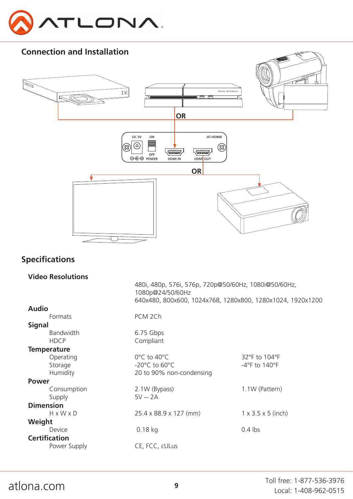



## **Specifications**

| <b>Video Resolutions</b> |                                                      |                                                            |  |  |
|--------------------------|------------------------------------------------------|------------------------------------------------------------|--|--|
|                          | 480i, 480p, 576i, 576p, 720p@50/60Hz, 1080i@50/60Hz, |                                                            |  |  |
|                          | 1080p@24/50/60Hz                                     |                                                            |  |  |
|                          |                                                      | 640x480, 800x600, 1024x768, 1280x800, 1280x1024, 1920x1200 |  |  |
| <b>Audio</b>             |                                                      |                                                            |  |  |
| Formats                  | PCM 2Ch                                              |                                                            |  |  |
| <b>Signal</b>            |                                                      |                                                            |  |  |
| Bandwidth                | 6.75 Gbps                                            |                                                            |  |  |
| <b>HDCP</b>              | Compliant                                            |                                                            |  |  |
| <b>Temperature</b>       |                                                      |                                                            |  |  |
| Operating                | 0°C to 40°C                                          | 32°F to 104°F                                              |  |  |
| Storage                  | -20 $^{\circ}$ C to 60 $^{\circ}$ C                  | $-4$ °F to 140°F                                           |  |  |
| Humidity                 | 20 to 90% non-condensing                             |                                                            |  |  |
| Power                    |                                                      |                                                            |  |  |
| Consumption              | 2.1W (Bypass)                                        | 1.1W (Pattern)                                             |  |  |
| Supply                   | $5V - 2A$                                            |                                                            |  |  |
| <b>Dimension</b>         |                                                      |                                                            |  |  |
| $H \times W \times D$    | 25.4 x 88.9 x 127 (mm)                               | $1 \times 3.5 \times 5$ (inch)                             |  |  |
| Weight                   |                                                      |                                                            |  |  |
| Device                   | $0.18$ kg                                            | $0.4$ lbs                                                  |  |  |
| <b>Certification</b>     |                                                      |                                                            |  |  |
| Power Supply             | CE, FCC, cULus                                       |                                                            |  |  |
|                          |                                                      |                                                            |  |  |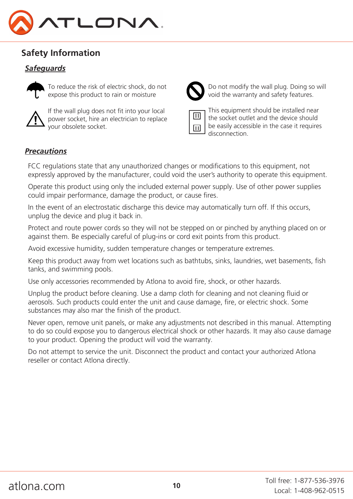

## **Safety Information**

## *Safeguards*



To reduce the risk of electric shock, do not expose this product to rain or moisture



If the wall plug does not fit into your local power socket, hire an electrician to replace your obsolete socket.



Do not modify the wall plug. Doing so will void the warranty and safety features.



This equipment should be installed near the socket outlet and the device should be easily accessible in the case it requires disconnection.

#### *Precautions*

FCC regulations state that any unauthorized changes or modifications to this equipment, not expressly approved by the manufacturer, could void the user's authority to operate this equipment.

Operate this product using only the included external power supply. Use of other power supplies could impair performance, damage the product, or cause fires.

In the event of an electrostatic discharge this device may automatically turn off. If this occurs, unplug the device and plug it back in.

Protect and route power cords so they will not be stepped on or pinched by anything placed on or against them. Be especially careful of plug-ins or cord exit points from this product.

Avoid excessive humidity, sudden temperature changes or temperature extremes.

Keep this product away from wet locations such as bathtubs, sinks, laundries, wet basements, fish tanks, and swimming pools.

Use only accessories recommended by Atlona to avoid fire, shock, or other hazards.

Unplug the product before cleaning. Use a damp cloth for cleaning and not cleaning fluid or aerosols. Such products could enter the unit and cause damage, fire, or electric shock. Some substances may also mar the finish of the product.

Never open, remove unit panels, or make any adjustments not described in this manual. Attempting to do so could expose you to dangerous electrical shock or other hazards. It may also cause damage to your product. Opening the product will void the warranty.

Do not attempt to service the unit. Disconnect the product and contact your authorized Atlona reseller or contact Atlona directly.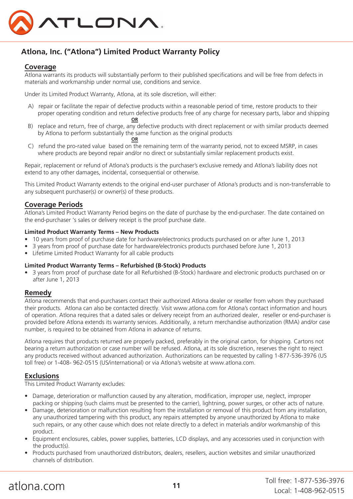

## **Atlona, Inc. ("Atlona") Limited Product Warranty Policy**

#### **Coverage**

Atlona warrants its products will substantially perform to their published specifications and will be free from defects in materials and workmanship under normal use, conditions and service.

Under its Limited Product Warranty, Atlona, at its sole discretion, will either:

- A) repair or facilitate the repair of defective products within a reasonable period of time, restore products to their proper operating condition and return defective products free of any charge for necessary parts, labor and shipping **OR**
- B) replace and return, free of charge, any defective products with direct replacement or with similar products deemed by Atlona to perform substantially the same function as the original products  $OR$ **OR** STREET AND THE STREET AND THE STREET AND THE STREET AND THE STREET AND THE STREET AND THE STREET AND THE STREET AND THE STREET AND THE STREET AND THE STREET AND THE STREET AND THE STREET AND THE STREET AND THE STREET
- C) refund the pro-rated value based on the remaining term of the warranty period, not to exceed MSRP, in cases where products are beyond repair and/or no direct or substantially similar replacement products exist.

Repair, replacement or refund of Atlona's products is the purchaser's exclusive remedy and Atlona's liability does not extend to any other damages, incidental, consequential or otherwise.

This Limited Product Warranty extends to the original end-user purchaser of Atlona's products and is non-transferrable to any subsequent purchaser(s) or owner(s) of these products.

#### **Coverage Periods**

Atlona's Limited Product Warranty Period begins on the date of purchase by the end-purchaser. The date contained on the end-purchaser 's sales or delivery receipt is the proof purchase date.

#### **Limited Product Warranty Terms – New Products**

- 10 years from proof of purchase date for hardware/electronics products purchased on or after June 1, 2013
- 3 years from proof of purchase date for hardware/electronics products purchased before June 1, 2013
- Lifetime Limited Product Warranty for all cable products

#### **Limited Product Warranty Terms – Refurbished (B-Stock) Products**

• 3 years from proof of purchase date for all Refurbished (B-Stock) hardware and electronic products purchased on or after June 1, 2013

#### **Remedy**

Atlona recommends that end-purchasers contact their authorized Atlona dealer or reseller from whom they purchased their products. Atlona can also be contacted directly. Visit www.atlona.com for Atlona's contact information and hours of operation. Atlona requires that a dated sales or delivery receipt from an authorized dealer, reseller or end-purchaser is provided before Atlona extends its warranty services. Additionally, a return merchandise authorization (RMA) and/or case number, is required to be obtained from Atlona in advance of returns.

Atlona requires that products returned are properly packed, preferably in the original carton, for shipping. Cartons not bearing a return authorization or case number will be refused. Atlona, at its sole discretion, reserves the right to reject any products received without advanced authorization. Authorizations can be requested by calling 1-877-536-3976 (US toll free) or 1-408- 962-0515 (US/international) or via Atlona's website at www.atlona.com.

#### **Exclusions**

This Limited Product Warranty excludes:

- Damage, deterioration or malfunction caused by any alteration, modification, improper use, neglect, improper packing or shipping (such claims must be presented to the carrier), lightning, power surges, or other acts of nature.
- Damage, deterioration or malfunction resulting from the installation or removal of this product from any installation, any unauthorized tampering with this product, any repairs attempted by anyone unauthorized by Atlona to make such repairs, or any other cause which does not relate directly to a defect in materials and/or workmanship of this product.
- Equipment enclosures, cables, power supplies, batteries, LCD displays, and any accessories used in conjunction with the product(s).
- Products purchased from unauthorized distributors, dealers, resellers, auction websites and similar unauthorized channels of distribution.